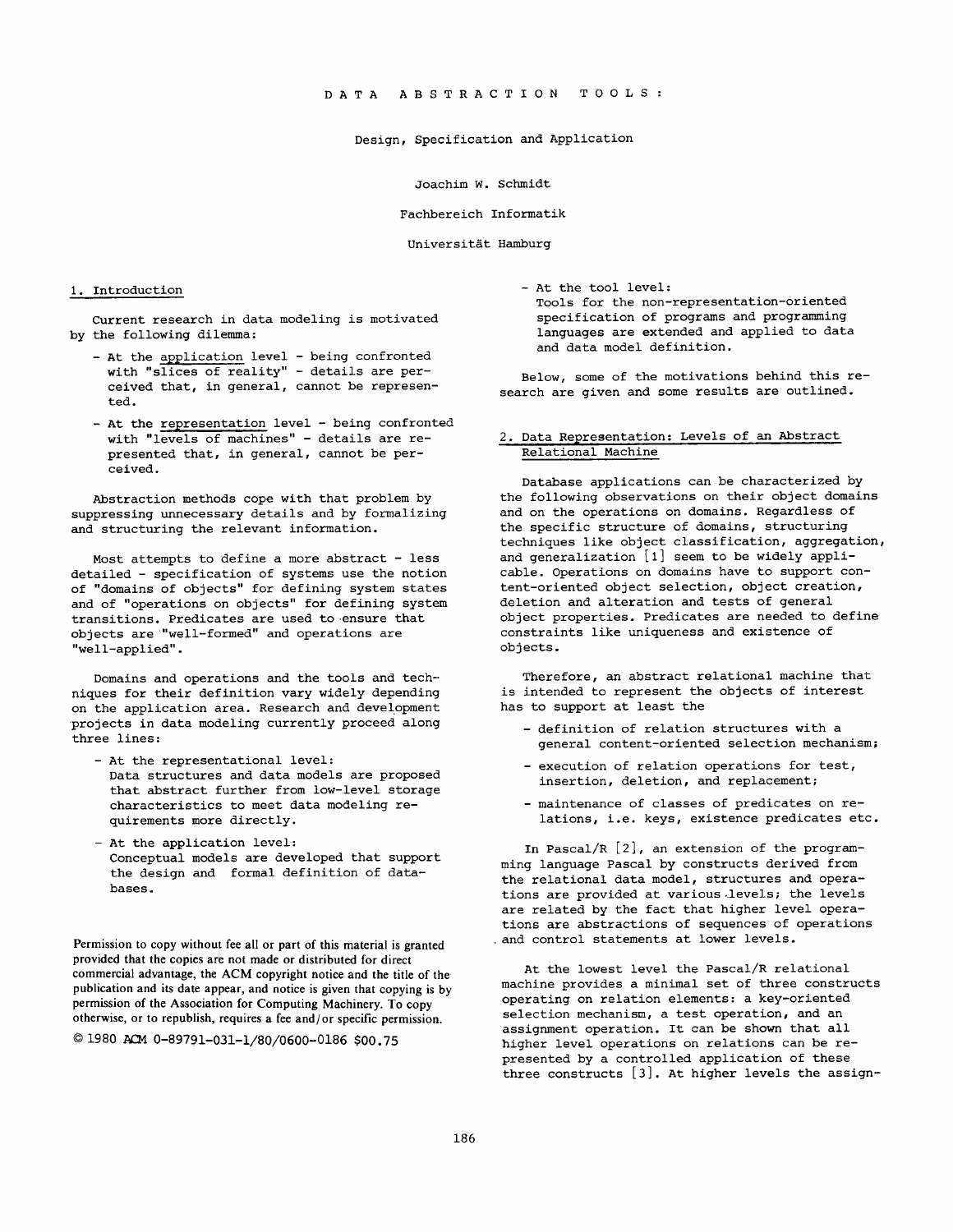## Design, Specification and Application

Joachim W. Schmidt

Fachbereich Informatik

Universität Hamburg

#### i. Introduction

Current research in data modeling is motivated by the following dilemma:

- At the application level being confronted with "slices of reality" - details are perceived that, in general, cannot be represented.
- At the representation level being confronted with "levels of machines" - details are represented that, in general, cannot be perceived.

Abstraction methods cope with that problem by suppressing unnecessary details and by formalizing and structuring the relevant information.

Most attempts to define a more abstract - less detailed - specification of systems use the notion of "domains of objects" for defining system states and of "operations on objects" for defining system transitions. Predicates are used to ensure that objects are "well-formed" and operations are "well-applied".

Domains and operations and the tools and techniques for their definition vary widely depending on the application area. Research and development projects in data modeling currently proceed along three lines:

- At the representational level: Data structures and data models are proposed that abstract further from low-level storage characteristics to meet data modeling requirements more directly.
- At the application level: Conceptual models are developed that support the design and formal definition of databases.

Permission to copy without fee all or part of this material is granted provided that the copies are not made or distributed for direct commercial advantage, the ACM copyright notice and the title of the publication and its date appear, and notice is given that copying is by permission of the Association for Computing Machinery. To copy otherwise, or to republish, requires a fee and/or specific permission.

© 1980 ACM 0-89791-031-i/80/0600-0186 \$00.75

- At the tool level:

Tools for the non-representation-oriented specification of programs and programming languages are extended and applied to data and data model definition.

Below, some of the motivations behind this research are given and some results are outlined.

# 2. Data Representation: Levels of an Abstract Relational Machine

Database applications can be characterized by the following observations on their object domains and on the operations on domains. Regardless of the specific structure of domains, structuring techniques like object classification, aggregation, and generalization [I] seem to be widely applicable. Operations on domains have to support content-oriented object selection, object creation, deletion and alteration and tests of general object properties. Predicates are needed to define constraints like uniqueness and existence of objects.

Therefore, an abstract relational machine that is intended to represent the objects of interest has to support at least the

- definition of relation structures with a general content-oriented selection mechanism;
- execution of relation operations for test, insertion, deletion, and replacement;
- maintenance of classes of predicates on relations, i.e. keys, existence predicates etc.

In Pascal/R [2], an extension of the programming language Pascal by constructs derived from the relational data model, structures and operations are provided at various levels; the levels are related by the fact that higher level operations are abstractions of sequences of operations and control statements at lower levels.

At the lowest level the Pascal/R relational machine provides a minimal set of three constructs operating on relation elements: a key-oriented selection mechanism, a test operation, and an assignment operation. It can be shown that all higher level operations on relations can be represented by a controlled application of these three constructs [3]. At higher levels the assign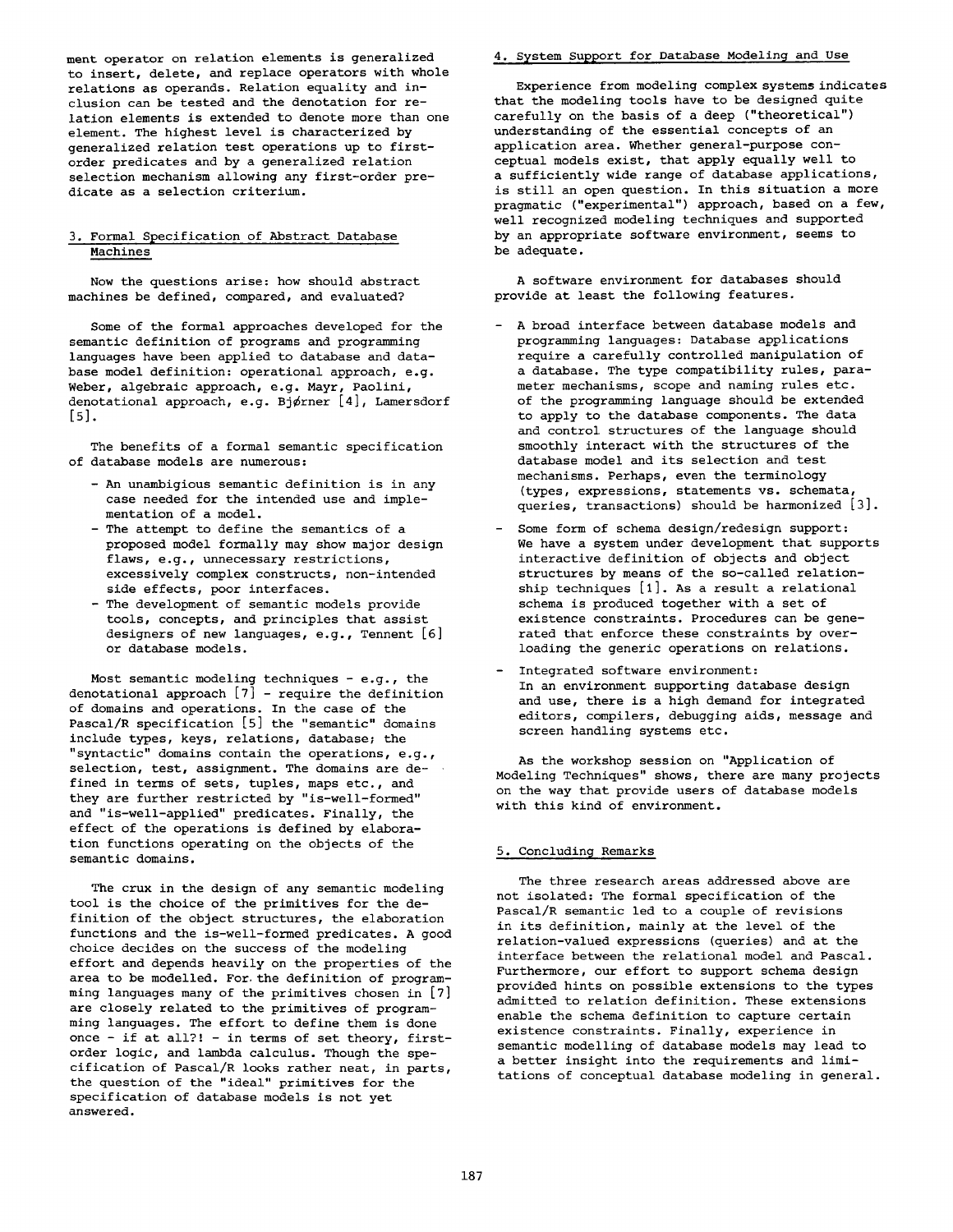ment operator on relation elements is generalized to insert, delete, and replace operators with whole relations as operands. Relation equality and inclusion can be tested and the denotation for relation elements is extended to denote more than one element. The highest level is characterized by generalized relation test operations up to firstorder predicates and by a generalized relation selection mechanism allowing any first-order predicate as a selection criterium.

## 3. Formal Specification of Abstract Database **Machines**

Now the questions arise: how should abstract machines be defined, compared, and evaluated?

Some of the formal approaches developed for the semantic definition of programs and programming languages have been applied to database and database model definition: operational approach, e.g. Weber, algebraic approach, e.g. Mayr, Paolini, denotational approach, e.g. Bjørner [4], Lamersdorf [5].

The benefits of a formal semantic specification of database models are numerous:

- An unambigious semantic definition is in any case needed for the intended use and implementation of a model.
- The attempt to define the semantics of a proposed model formally may show major design flaws, e.g., unnecessary restrictions, excessively complex constructs, non-intended side effects, poor interfaces.
- The development of semantic models provide tools, concepts, and principles that assist designers of new languages, e.g., Tennent [6] or database models.

Most semantic modeling techniques  $-$  e.g., the denotational approach  $[7]$  - require the definition of domains and operations. In the case of the Pascal/R specification [5] the "semantic" domains include types, keys, relations, database; the "syntactic" domains contain the operations, e.g., selection, test, assignment. The domains are defined in terms of sets, tuples, maps etc., and they are further restricted by "is-well-formed" and "is-well-applied" predicates. Finally, the effect of the operations is defined by elaboration functions operating on the objects of the semantic domains.

The crux in the design of any semantic modeling tool is the choice of the primitives for the definition of the object structures, the elaboration functions and the is-well-formed predicates. A good choice decides on the success of the modeling effort and depends heavily on the properties of the area to be modelled. For the definition of programming languages many of the primitives chosen in [7] are closely related to the primitives of programming languages. The effort to define them is done once - if at all?! - in terms of set theory, firstorder logic, and lambda calculus. Though the specification of Pascal/R looks rather neat, in parts, the question of the "ideal" primitives for the specification of database models is not yet answered.

# 4. System Support for Database Modeling and Use

Experience from modeling complex systems indicates that the modeling tools have to be designed quite carefully on the basis of a deep ("theoretical") understanding of the essential concepts of an application area. Whether general-purpose conceptual models exist, that apply equally well to a sufficiently wide range of database applications, is still an open question. In this situation a more pragmatic ("experimental") approach, based on a few, well recognized modeling techniques and supported by an appropriate software environment, seems to be adequate.

A software environment for databases should provide at least the following features.

- A broad interface between database models and programming languages: Database applications require a carefully controlled manipulation of a database. The type compatibility rules, parameter mechanisms, scope and naming rules etc. of the programming language should be extended to apply to the database components. The data and control structures of the language should smoothly interact with the structures of the database model and its selection and test mechanisms. Perhaps, even the terminology (types, expressions, statements vs. schemata, queries, transactions) should be harmonized [3].
- Some form of schema design/redesign support: We have a system under development that supports interactive definition of objects and object structures by means of the so-called relationship techniques [I]. As a result a relational schema is produced together with a set of existence constraints. Procedures can be generated that enforce these constraints by overloading the generic operations on relations.
- Integrated software environment: In an environment supporting database design and use, there is a high demand for integrated editors, compilers, debugging aids, message and screen handling systems etc.

As the workshop session on "Application of Modeling Techniques" shows, there are many projects on the way that provide users of database models with this kind of environment.

#### 5. Concluding Remarks

The three research areas addressed above are not isolated: The formal specification of the Pascal/R semantic led to a couple of revisions in its definition, mainly at the level of the relation-valued expressions (queries) and at the interface between the relational model and Pascal. Furthermore, our effort to support schema design provided hints on possible extensions to the types admitted to relation definition. These extensions enable the schema definition to capture certain existence constraints. Finally, experience in semantic modelling of database models may lead to a better insight into the requirements and limitations of conceptual database modeling in general.